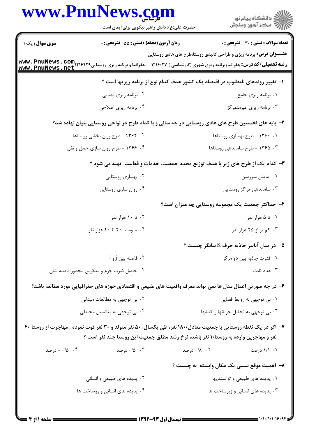|                                | www.PnuNews.com<br>حضرت علی(ع): دانش راهبر نیکویی برای ایمان است |                                                                                                                                                                                                         | ڪ دانشڪاه پيا <sub>م</sub> نور<br>۾ مرڪز آزمون وسنڊش |
|--------------------------------|------------------------------------------------------------------|---------------------------------------------------------------------------------------------------------------------------------------------------------------------------------------------------------|------------------------------------------------------|
| سری سوال: یک ۱                 | <b>زمان آزمون (دقیقه) : تستی : 55 تشریحی : 0</b>                 |                                                                                                                                                                                                         | <b>تعداد سوالات : تستي : 30 ٪ تشريحي : 0</b>         |
| www.PnuNews.net                |                                                                  | <b>عنـــوان درس:</b> برنامه ریزی و طراحی کالبدی روستا،طرح های هادی روستایی                                                                                                                              |                                                      |
|                                |                                                                  | ۱– تغییر روندهای نامطلوب در اقتصاد یک کشور هدف کدام نوع از برنامه ریزیها است ؟                                                                                                                          |                                                      |
|                                | ۰۲ برنامه ریزی فضایی                                             |                                                                                                                                                                                                         | ۰۱ برنامه ریزی جامع                                  |
|                                | ۰۴ برنامه ریزی اصلاحی                                            |                                                                                                                                                                                                         | ۰۳ برنامه ریزی غیرمتمرکز                             |
|                                |                                                                  | ۲– پایه های نخستین طرح های هادی روستایی در چه سالی و با کدام طرح در نواحی روستایی بنیان نهاده شد؟                                                                                                       |                                                      |
|                                | ۰۲ - ۱۳۶۲ - طرح روان بخشی روستاها                                |                                                                                                                                                                                                         | ۰۱ ۱۳۶۰ - طرح بهسازی روستاها                         |
|                                | ۰۴ - ۱۳۶۶ - طرح روان سازی حمل و نقل                              | ۰۳ ـ ۱۳۶۵ - طرح ساماندهی روستاها                                                                                                                                                                        |                                                      |
|                                |                                                                  | ۳- کدام یک از طرح های زیر با هدف توزیع مجدد جمعیت، خدمات و فعالیت تهیه می شود ؟                                                                                                                         |                                                      |
|                                | ۰۲ بهسازی روستایی                                                |                                                                                                                                                                                                         | ۰۱ آمایش سرزمین                                      |
|                                | ۰۴ روان سازي روستايي                                             |                                                                                                                                                                                                         | ۰۳ ساماندهی مراکز روستایی                            |
|                                |                                                                  | ۴– حداکثر جمعیت یک مجموعه روستایی چه میزان است؟                                                                                                                                                         |                                                      |
|                                | ۰۲ تا ۱۰ هزار نفر                                                |                                                                                                                                                                                                         | ۰۱ تا ۵ هزار نفر                                     |
|                                | ۰۴ متوسط ۲۰ تا ۴۰ هزار نفر                                       |                                                                                                                                                                                                         | ۰۳ کم تر از ۲۵ هزار نفر                              |
|                                |                                                                  | ۵− در مدل آنالیز جاذبه حرف K بیانگر چیست ؟                                                                                                                                                              |                                                      |
|                                | ۰۲ فاصله بين j و i                                               |                                                                                                                                                                                                         | ۰۱ قدرت جاذبه بين دو مركز                            |
|                                | ۰۴ حاصل ضرب جرم و معکوس مجذور فاصله شان                          |                                                                                                                                                                                                         | ۰۳ عدد ثابت                                          |
|                                |                                                                  | ۶– در چه صورتی اعمال مدل ها نمی تواند معرف واقعیت های طبیعی و اقتصادی حوزه های جغرافیایی مورد مطالعه باشد؟                                                                                              |                                                      |
|                                | ۰۲ بی توجهی به مطالعات میدانی                                    |                                                                                                                                                                                                         | ۰۱ بی توجهی به روابط فضایی                           |
|                                | ۰۴ بی توجهی به پتانسیل محیطی                                     | ۰۳ بی توجهی به تحلیل جریانها و کنشها                                                                                                                                                                    |                                                      |
|                                |                                                                  | ۷- اگر در یک نقطه روستایی با جمعیت معادل۱۸۰۰ نفر، طی یکسال، ۵۰ نفر متولد و ۳۰ نفر فوت نموده ، مهاجرت از روستا ۴۰<br>نفر و مهاجرین وارده به روستا۱۰ نفر باشد، نرخ رشد مطلق جمعیت این روستا چند نفر است ؟ |                                                      |
| ۰۴ - درصد $\cdot$ ۱۵ $\cdot$ ۴ | ۰۱۵ ۰/۵ درصد                                                     | ۰۱۲ درصد                                                                                                                                                                                                | ۰۱ ۱/۱ درصد                                          |
|                                |                                                                  | ۸– اهمیت موقع نسبی یک مکان وابسته به چیست ؟                                                                                                                                                             |                                                      |
|                                | ۰۲ پدیده های طبیعی و انسانی                                      | ۰۱ پدیده های طبیعی و توانمندیها                                                                                                                                                                         |                                                      |
|                                | ۰۴ پدیده های انسانی و روساخت ها                                  | ۰۳ پدیده های انسانی و زیرساخت ها                                                                                                                                                                        |                                                      |

 $= 1.1 - 11.1 - 19.91$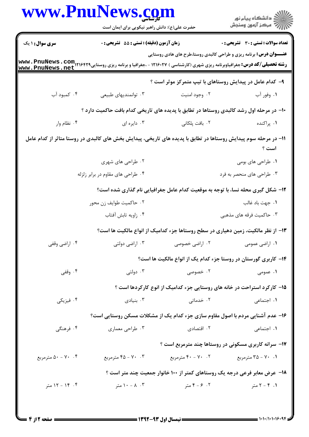| <b>www.PnuNews.co.</b> | حضرت علی(ع): دانش راهبر نیکویی برای ایمان است                                                                   |                                                          | ڪ دانشڪاه پيام نور<br>ر∕⊂ مرڪز آزمون وسنڊش                                       |
|------------------------|-----------------------------------------------------------------------------------------------------------------|----------------------------------------------------------|----------------------------------------------------------------------------------|
| <b>سری سوال : ۱ یک</b> | زمان آزمون (دقیقه) : تستی : 55 آتشریحی : 0                                                                      |                                                          | <b>تعداد سوالات : تستی : 30 ٪ تشریحی : 0</b>                                     |
|                        |                                                                                                                 |                                                          | <b>عنـــوان درس:</b> برنامه ریزی و طراحی کالبدی روستا،طرح های هادی روستایی       |
|                        |                                                                                                                 | ۹– کدام عامل در پیدایش روستاهای با تیپ متمرکز موثر است ؟ |                                                                                  |
| ۰۴ کمبود آب            | ۰۳ توانمندیهای طبیعی                                                                                            | ۰۲ وجود امنيت                                            | ١. وفور آب                                                                       |
|                        | ∙۱- در مرحله اول رشد کالبدی روستاها در تطابق با پدیده های تاریخی کدام بافت حاکمیت دارد ؟                        |                                                          |                                                                                  |
| ۰۴ نظام وار            | ۰۳ دایره ای                                                                                                     | ۰۲ بافت پلکانی                                           | ۰۱ پراکنده                                                                       |
|                        | 1۱– در مرحله سوم پیدایش روستاها در تطابق با پدیده های تاریخی، پیدایش بخش های کالبدی در روستا متاثر از کدام عامل |                                                          | است ؟                                                                            |
|                        | ۰۲ طراحی های شهری                                                                                               |                                                          | ۰۱ طراحی های بومی                                                                |
|                        | ۰۴ طراحی های مقاوم در برابر زلزله                                                                               |                                                          | ۰۳ طراحی های منحصر به فرد                                                        |
|                        |                                                                                                                 |                                                          | ۱۲- شکل گیری محله نسا، با توجه به موقعیت کدام عامل جغرافیایی نام گذاری شده است؟  |
|                        | ۰۲ حاكميت طوايف زن محور                                                                                         |                                                          | ۰۱ جهت باد غالب                                                                  |
|                        | ۰۴ زاويه تابش آفتاب                                                                                             |                                                          | ۰۳ حاکمیت فرقه های مذهبی                                                         |
|                        |                                                                                                                 |                                                          | ۱۳- از نظر مالکیت، زمین دهیاری در سطح روستاها جزء کدامیک از انواع مالکیت ها است؟ |
| ۰۴ اراضي وقفي          | ۰۳ اراضی دولتی                                                                                                  | ۰۲ اراضی خصوصی                                           | ۰۱ اراضی عمومی                                                                   |
|                        |                                                                                                                 |                                                          | ۱۴– کاربری گورستان در روستا جزء کدام یک از انواع مالکیت ها است؟                  |
| ۰۴ وقفی                | دولتى $\cdot$                                                                                                   | ۰۲ خصوصی                                                 | ۰۱ عمومی                                                                         |
|                        |                                                                                                                 |                                                          | ۱۵- کارکرد استراحت در خانه های روستایی جزء کدامیک از انوع کارکردها است ؟         |
| ۰۴ فیزیکی              | بنیادی $\cdot$ ۳                                                                                                | ۰۲ خدماتی                                                | ٠١. اجتماعي                                                                      |
|                        |                                                                                                                 |                                                          | ۱۶- عدم آشنایی مردم با اصول مقاوم سازی جزء کدام یک از مشکلات مسکن روستایی است؟   |
| ۰۴ فرهنگی              | ۰۳ طراحی معماری                                                                                                 | ۰۲ اقتصادی                                               | ۰۱ اجتماعی                                                                       |
|                        |                                                                                                                 |                                                          | ۱۷- سرانه کاربری مسکونی در روستاها چند مترمربع است ؟                             |
| ۰۴ - ۵۰ مترمربع        | ۰۳ - ۴۵ مترمربع                                                                                                 | ۰۲ - ۴۰ مترمربع                                          | ۰۱ - ۲۵ - ۳۵ مترمربع                                                             |
|                        |                                                                                                                 |                                                          | ۱۸- عرض معابر فرعی درجه یک روستاهای کمتر از ۱۰۰ خانوار جمعیت چند متر است ؟       |
| ۰۴ - ۱۲ متر            | ۰۳ - ۱۰ متر $\lambda$ ۰ - ۱۰ متر                                                                                | ۰۲ ۶ - ۴ متر                                             | $\mathsf{r} - \mathsf{r} - \mathsf{r}$ متر                                       |
|                        |                                                                                                                 |                                                          |                                                                                  |

 $= 1.1 - 11.1 - 19.91$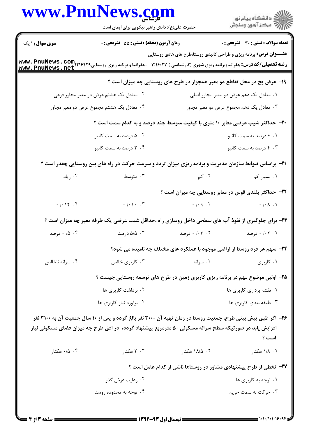|                        | www.PnuNews.com<br>حضرت علی(ع): دانش راهبر نیکویی برای ایمان است                                                                                                                                                      |                                                                                  | ر<br>دانشڪاه پيام نور)<br>ا∛ مرڪز آزمون وسنڊش |
|------------------------|-----------------------------------------------------------------------------------------------------------------------------------------------------------------------------------------------------------------------|----------------------------------------------------------------------------------|-----------------------------------------------|
| <b>سری سوال : ۱ یک</b> | زمان آزمون (دقیقه) : تستی : 55 آتشریحی : 0                                                                                                                                                                            |                                                                                  | <b>تعداد سوالات : تستی : 30 ٪ تشریحی : 0</b>  |
|                        | <b>رشته تحصیلی/کد درس:</b> جغرافیاوبرنامه ریزی شهری (کارشناسی ) ۱۲۱۶۰۲۷ - ،جغرافیا و برنامه ریزی روستایی۲۱۶۴۲۹ <b>. www . PnuNews . com</b><br>www . PnuNews . net                                                    | <b>عنـــوان درس:</b> برنامه ریزی و طراحی کالبدی روستا،طرح های هادی روستایی       |                                               |
|                        |                                                                                                                                                                                                                       | ۱۹- عرض پخ در محل تقاطع دو معبر همجوار در طرح های روستایی چه میزان است ؟         |                                               |
|                        | ۰۲ معادل یک هشتم عرض دو معبر مجاور فرعی                                                                                                                                                                               |                                                                                  | ۰۱ معادل یک دهم عرض دو معبر مجاور اصلی        |
|                        | ۰۴ معادل یک هشتم مجموع عرض دو معبر مجاور                                                                                                                                                                              |                                                                                  | ۰۳ معادل یک دهم مجموع عرض دو معبر مجاور       |
|                        | <b>۳۰</b> - حداکثر شیب عرضی معابر ۱۰ متری با کیفیت متوسط چند درصد و به کدام سمت است ؟                                                                                                                                 |                                                                                  |                                               |
|                        | ۰۲ ۵ درصد به سمت کانیو                                                                                                                                                                                                |                                                                                  | ۰۱ ۶ درصد به سمت کانیو                        |
|                        | ۰۴ درصد به سمت کانیو                                                                                                                                                                                                  |                                                                                  | ۰۳ درصد به سمت کانیو                          |
|                        | <b>۲۱</b> - براساس ضوابط سازمان مدیریت و برنامه ریزی میزان تردد و سرعت حرکت در راه های بین روستایی چقدر است ؟                                                                                                         |                                                                                  |                                               |
| ۰۴ زیاد                | ۰۳ متوسط                                                                                                                                                                                                              | $\sim$ 7. $\sim$ $\sim$                                                          | ۰۱ بسیار کم                                   |
|                        |                                                                                                                                                                                                                       | ۲۲- حداکثر بلندی قوس در معابر روستایی چه میزان است ؟                             |                                               |
| . / . 17 . 5           | $\cdot$ / $\cdot$ . $\cdot$                                                                                                                                                                                           |                                                                                  |                                               |
|                        | ۲۳- برای جلوگیری از نفوذ آب های سطحی داخل روسازی راه ،حداقل شیب عرضی یک طرفه معبر چه میزان است ؟                                                                                                                      |                                                                                  |                                               |
| ۰ ۱۵ ۰ درصد            | ۰۳ ۵/۵ درصد                                                                                                                                                                                                           | ۰۱۳ ۰/۰۳ درصد                                                                    | ۰/ ۰/۰۲ درصد                                  |
|                        |                                                                                                                                                                                                                       | <b>34- سهم هر فرد روستا از اراضی موجود با عملکرد های مختلف چه نامیده می شود؟</b> |                                               |
| ۰۴ سرانه ناخالص        | ۰۳ کاربری خالص                                                                                                                                                                                                        | ۰۲ سرانه                                                                         | ۰۱ کاربری                                     |
|                        | ۲۵- اولین موضوع مهم در برنامه ریزی کاربری زمین در طرح های توسعه روستایی چیست ؟                                                                                                                                        |                                                                                  |                                               |
|                        | ۰۲ برداشت کاربری ها                                                                                                                                                                                                   |                                                                                  | ۰۱ نقشه برداری کاربری ها                      |
|                        | ۰۴ برآورد نیاز کاربری ها                                                                                                                                                                                              |                                                                                  | ۰۳ طبقه بندی کاربری ها                        |
|                        | ۲۶- اگر طبق پیش بینی طرح، جمعیت روستا در زمان تهیه آن ۳۰۰۰ نفر بالغ گردد و پس از ۱۰ سال جمعیت آن به ۳۱۰۰ نفر<br>افزایش یابد در صورتیکه سطح سرانه مسکونی ۵۰ مترمربع پیشنهاد گردد، در افق طرح چه میزان فضای مسکونی نیاز |                                                                                  | است ؟                                         |
| ۰/۵ ۰/۴ هکتار          | ۰۳ هکتار                                                                                                                                                                                                              | ۰۲ ۱۸/۵ هکتار                                                                    | ۰۱ ۱/۸ هکتار                                  |
|                        |                                                                                                                                                                                                                       | ۲۷- تخطی از طرح پیشنهادی مشاور در روستاها ناشی از کدام عامل است ؟                |                                               |
|                        | ۰۲ رعایت عرض گذر                                                                                                                                                                                                      |                                                                                  | ۰۱ توجه به کاربری ها                          |
|                        | ۰۴ توجه به محدوده روستا                                                                                                                                                                                               |                                                                                  | ۰۳ حرکت به سمت حریم                           |
|                        |                                                                                                                                                                                                                       |                                                                                  |                                               |

 $= 1.1 - 11.1 - 19.91$